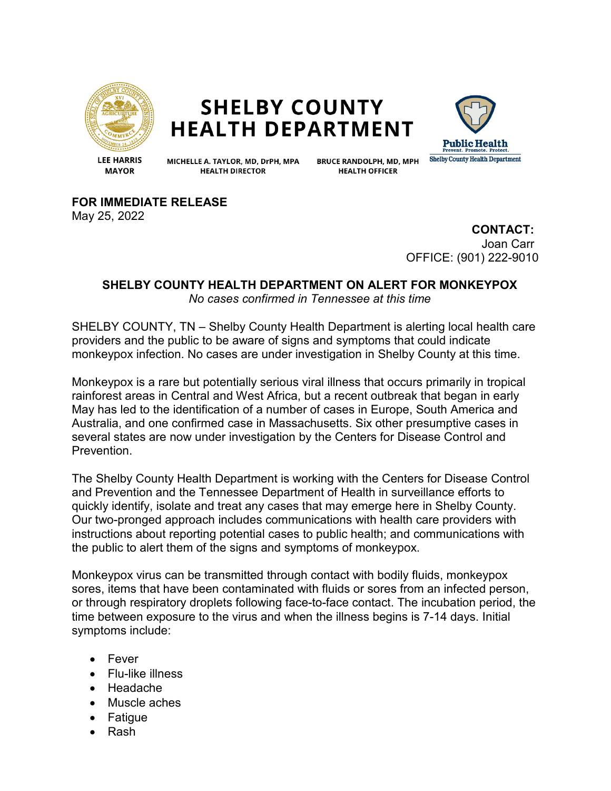

## **SHELBY COUNTY HEALTH DEPARTMENT**



**LEE HARRIS MAYOR** 

MICHELLE A. TAYLOR, MD, DrPH, MPA **HEALTH DIRECTOR** 

**BRUCE RANDOLPH, MD, MPH HEALTH OFFICER** 

**FOR IMMEDIATE RELEASE**

May 25, 2022

**CONTACT:** Joan Carr OFFICE: (901) 222-9010

## **SHELBY COUNTY HEALTH DEPARTMENT ON ALERT FOR MONKEYPOX** *No cases confirmed in Tennessee at this time*

SHELBY COUNTY, TN – Shelby County Health Department is alerting local health care providers and the public to be aware of signs and symptoms that could indicate monkeypox infection. No cases are under investigation in Shelby County at this time.

Monkeypox is a rare but potentially serious viral illness that occurs primarily in tropical rainforest areas in Central and West Africa, but a recent outbreak that began in early May has led to the identification of a number of cases in Europe, South America and Australia, and one confirmed case in Massachusetts. Six other presumptive cases in several states are now under investigation by the Centers for Disease Control and Prevention.

The Shelby County Health Department is working with the Centers for Disease Control and Prevention and the Tennessee Department of Health in surveillance efforts to quickly identify, isolate and treat any cases that may emerge here in Shelby County. Our two-pronged approach includes communications with health care providers with instructions about reporting potential cases to public health; and communications with the public to alert them of the signs and symptoms of monkeypox.

Monkeypox virus can be transmitted through contact with bodily fluids, monkeypox sores, items that have been contaminated with fluids or sores from an infected person, or through respiratory droplets following face-to-face contact. The incubation period, the time between exposure to the virus and when the illness begins is 7-14 days. Initial symptoms include:

- Fever
- Flu-like illness
- Headache
- Muscle aches
- Fatigue
- Rash